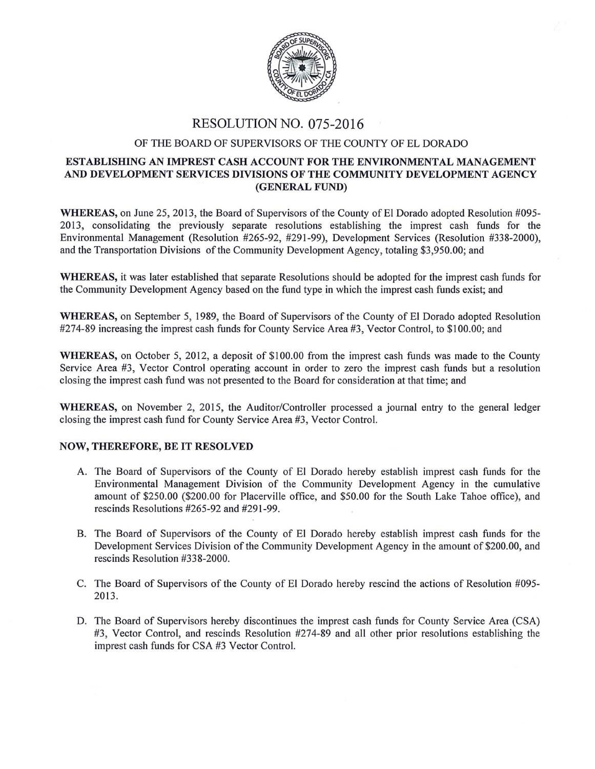

## RESOLUTION NO. 075-2016

## OF THE BOARD OF SUPERVISORS OF THE COUNTY OF EL DORADO

## ESTABLISHING AN IMPREST CASH ACCOUNT FOR THE ENVIRONMENTAL MANAGEMENT AND DEVELOPMENT SERVICES DIVISIONS OF THE COMMUNITY DEVELOPMENT AGENCY (GENERAL FUND)

WHEREAS, on June 25, 2013, the Board of Supervisors of the County of El Dorado adopted Resolution #095-20 13, consolidating the previously separate resolutions establishing the imprest cash funds for the Environmental Management (Resolution #265-92, #291-99), Development Services (Resolution #338-2000), and the Transportation Divisions of the Community Development Agency, totaling \$3,950.00; and

WHEREAS, it was later established that separate Resolutions should be adopted for the imprest cash funds for the Community Development Agency based on the fund type in which the imprest cash funds exist; and

WHEREAS, on September 5, 1989, the Board of Supervisors of the County of EI Dorado adopted Resolution #274-89 increasing the imprest cash funds for County Service Area #3, Vector Control, to \$100.00; and

WHEREAS, on October 5, 2012, a deposit of \$100.00 from the imprest cash funds was made to the County Service Area #3, Vector Control operating account in order to zero the imprest cash funds but a resolution closing the imprest cash fund was not presented to the Board for consideration at that time; and

WHEREAS, on November 2, 2015, the Auditor/Controller processed a journal entry to the general ledger closing the imprest cash fund for County Service Area #3, Vector Control.

## NOW, THEREFORE, BE IT RESOLVED

- A. The Board of Supervisors of the County of EI Dorado hereby establish imprest cash funds for the Environmental Management Division of the Community Development Agency in the cumulative amount of \$250.00 (\$200.00 for Placerville office, and \$50.00 for the South Lake Tahoe office), and rescinds Resolutions #265-92 and #291-99.
- B. The Board of Supervisors of the County of EI Dorado hereby establish imprest cash funds for the Development Services Division of the Community Development Agency in the amount of \$200.00, and rescinds Resolution #338-2000.
- C. The Board of Supervisors of the County of EI Dorado hereby rescind the actions of Resolution #095- 2013.
- D. The Board of Supervisors hereby discontinues the imprest cash funds for County Service Area (CSA) #3, Vector Control, and rescinds Resolution #274-89 and all other prior resolutions establishing the imprest cash funds for CSA #3 Vector Control.